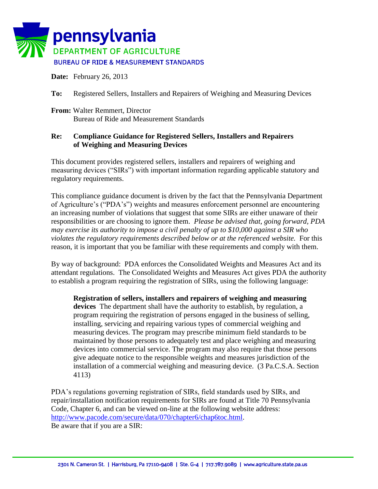

**Date:** February 26, 2013

**To:** Registered Sellers, Installers and Repairers of Weighing and Measuring Devices

**From:** Walter Remmert, Director Bureau of Ride and Measurement Standards

## **Re: Compliance Guidance for Registered Sellers, Installers and Repairers of Weighing and Measuring Devices**

This document provides registered sellers, installers and repairers of weighing and measuring devices ("SIRs") with important information regarding applicable statutory and regulatory requirements.

This compliance guidance document is driven by the fact that the Pennsylvania Department of Agriculture's ("PDA's") weights and measures enforcement personnel are encountering an increasing number of violations that suggest that some SIRs are either unaware of their responsibilities or are choosing to ignore them. *Please be advised that, going forward, PDA may exercise its authority to impose a civil penalty of up to \$10,000 against a SIR who violates the regulatory requirements described below or at the referenced website.* For this reason, it is important that you be familiar with these requirements and comply with them.

By way of background: PDA enforces the Consolidated Weights and Measures Act and its attendant regulations. The Consolidated Weights and Measures Act gives PDA the authority to establish a program requiring the registration of SIRs, using the following language:

**Registration of sellers, installers and repairers of weighing and measuring devices** The department shall have the authority to establish, by regulation, a program requiring the registration of persons engaged in the business of selling, installing, servicing and repairing various types of commercial weighing and measuring devices. The program may prescribe minimum field standards to be maintained by those persons to adequately test and place weighing and measuring devices into commercial service. The program may also require that those persons give adequate notice to the responsible weights and measures jurisdiction of the installation of a commercial weighing and measuring device. (3 Pa.C.S.A. Section 4113)

PDA's regulations governing registration of SIRs, field standards used by SIRs, and repair/installation notification requirements for SIRs are found at Title 70 Pennsylvania Code, Chapter 6, and can be viewed on-line at the following website address: [http://www.pacode.com/secure/data/070/chapter6/chap6toc.html.](http://www.pacode.com/secure/data/070/chapter6/chap6toc.html) Be aware that if you are a SIR: